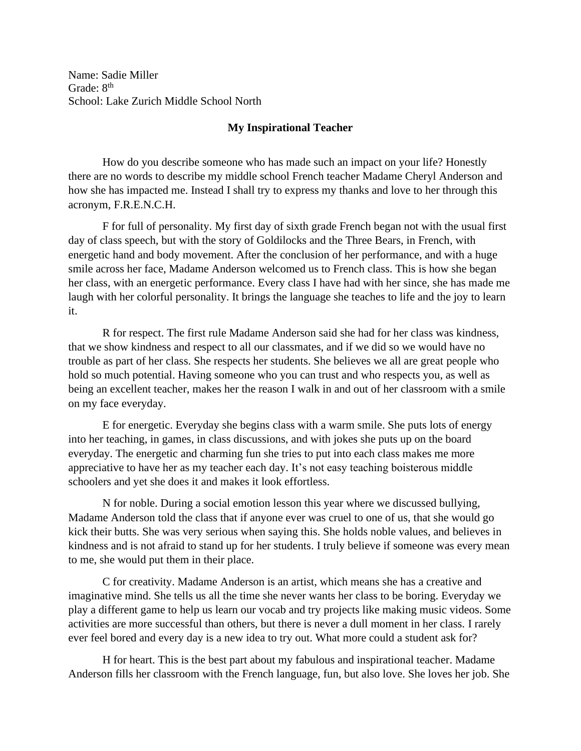Name: Sadie Miller Grade: 8<sup>th</sup> School: Lake Zurich Middle School North

## **My Inspirational Teacher**

How do you describe someone who has made such an impact on your life? Honestly there are no words to describe my middle school French teacher Madame Cheryl Anderson and how she has impacted me. Instead I shall try to express my thanks and love to her through this acronym, F.R.E.N.C.H.

F for full of personality. My first day of sixth grade French began not with the usual first day of class speech, but with the story of Goldilocks and the Three Bears, in French, with energetic hand and body movement. After the conclusion of her performance, and with a huge smile across her face, Madame Anderson welcomed us to French class. This is how she began her class, with an energetic performance. Every class I have had with her since, she has made me laugh with her colorful personality. It brings the language she teaches to life and the joy to learn it.

R for respect. The first rule Madame Anderson said she had for her class was kindness, that we show kindness and respect to all our classmates, and if we did so we would have no trouble as part of her class. She respects her students. She believes we all are great people who hold so much potential. Having someone who you can trust and who respects you, as well as being an excellent teacher, makes her the reason I walk in and out of her classroom with a smile on my face everyday.

E for energetic. Everyday she begins class with a warm smile. She puts lots of energy into her teaching, in games, in class discussions, and with jokes she puts up on the board everyday. The energetic and charming fun she tries to put into each class makes me more appreciative to have her as my teacher each day. It's not easy teaching boisterous middle schoolers and yet she does it and makes it look effortless.

N for noble. During a social emotion lesson this year where we discussed bullying, Madame Anderson told the class that if anyone ever was cruel to one of us, that she would go kick their butts. She was very serious when saying this. She holds noble values, and believes in kindness and is not afraid to stand up for her students. I truly believe if someone was every mean to me, she would put them in their place.

C for creativity. Madame Anderson is an artist, which means she has a creative and imaginative mind. She tells us all the time she never wants her class to be boring. Everyday we play a different game to help us learn our vocab and try projects like making music videos. Some activities are more successful than others, but there is never a dull moment in her class. I rarely ever feel bored and every day is a new idea to try out. What more could a student ask for?

H for heart. This is the best part about my fabulous and inspirational teacher. Madame Anderson fills her classroom with the French language, fun, but also love. She loves her job. She